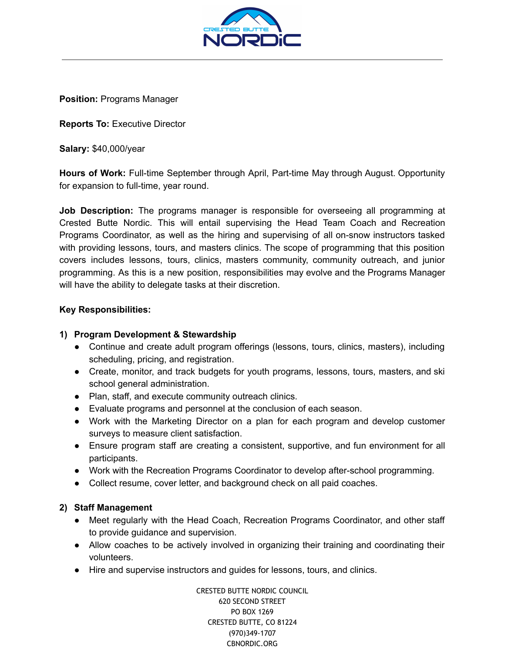

**Position:** Programs Manager

**Reports To:** Executive Director

**Salary:** \$40,000/year

**Hours of Work:** Full-time September through April, Part-time May through August. Opportunity for expansion to full-time, year round.

**Job Description:** The programs manager is responsible for overseeing all programming at Crested Butte Nordic. This will entail supervising the Head Team Coach and Recreation Programs Coordinator, as well as the hiring and supervising of all on-snow instructors tasked with providing lessons, tours, and masters clinics. The scope of programming that this position covers includes lessons, tours, clinics, masters community, community outreach, and junior programming. As this is a new position, responsibilities may evolve and the Programs Manager will have the ability to delegate tasks at their discretion.

## **Key Responsibilities:**

# **1) Program Development & Stewardship**

- Continue and create adult program offerings (lessons, tours, clinics, masters), including scheduling, pricing, and registration.
- Create, monitor, and track budgets for youth programs, lessons, tours, masters, and ski school general administration.
- Plan, staff, and execute community outreach clinics.
- Evaluate programs and personnel at the conclusion of each season.
- Work with the Marketing Director on a plan for each program and develop customer surveys to measure client satisfaction.
- Ensure program staff are creating a consistent, supportive, and fun environment for all participants.
- Work with the Recreation Programs Coordinator to develop after-school programming.
- Collect resume, cover letter, and background check on all paid coaches.

# **2) Staff Management**

- Meet regularly with the Head Coach, Recreation Programs Coordinator, and other staff to provide guidance and supervision.
- Allow coaches to be actively involved in organizing their training and coordinating their volunteers.
- Hire and supervise instructors and guides for lessons, tours, and clinics.

CRESTED BUTTE NORDIC COUNCIL 620 SECOND STREET PO BOX 1269 CRESTED BUTTE, CO 81224 (970)349-1707 CBNORDIC.ORG